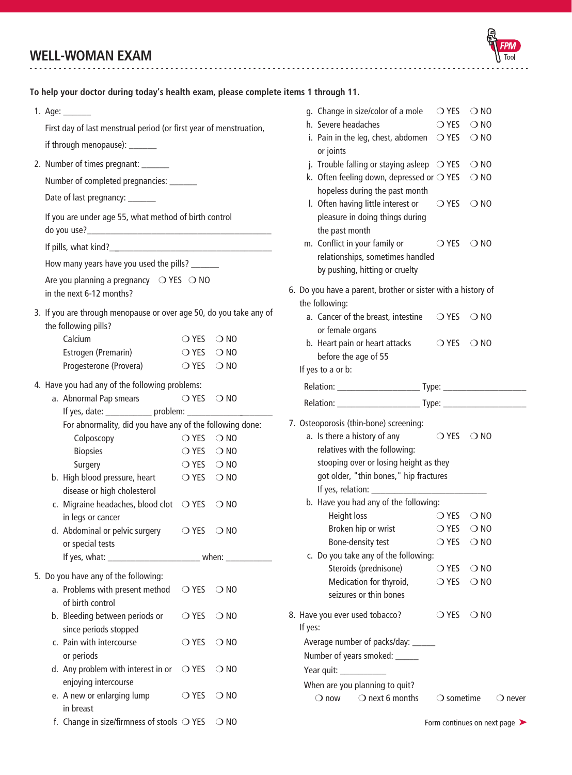## **WELL-WOMAN EXAM**

1. Age: \_\_\_\_\_\_ First day of last menstrual period (or first year of menstruation, if through menopause): \_\_\_\_\_\_ or joints **To help your doctor during today's health exam, please complete items 1 through 11.**

-------------------------------------------------------------------------------------------------------

2. Number of times pregnant: \_\_\_\_\_\_\_

Number of completed pregnancies: \_\_\_\_\_\_

Date of last pregnancy: \_\_\_\_\_\_\_

If you are under age 55, what method of birth control

do you use?\_\_\_\_\_\_\_\_\_\_\_\_\_\_\_\_\_\_\_\_\_\_\_\_\_\_\_\_\_\_\_\_\_\_\_\_\_\_\_\_

If pills, what kind?\_\_\_\_\_\_\_\_\_\_\_\_\_\_\_\_\_\_\_\_\_\_\_\_\_\_\_\_\_\_\_\_\_\_\_\_

How many years have you used the pills? \_\_\_\_\_\_\_

Are you planning a pregnancy  $\bigcirc$  YES  $\bigcirc$  NO in the next 6-12 months?

3. If you are through menopause or over age 50, do you take any of the following pills?

| Calcium                | $OYES$ $ONO$                 |  |
|------------------------|------------------------------|--|
| Estrogen (Premarin)    | $\bigcirc$ YFS $\bigcirc$ NO |  |
| Progesterone (Provera) | $OYES$ $ONO$                 |  |

4. Have you had any of the following problems:

| a. Abnormal Pap smears                                                                                                                                                                                                         | OYES ONO       |               |
|--------------------------------------------------------------------------------------------------------------------------------------------------------------------------------------------------------------------------------|----------------|---------------|
| If yes, date: ______________ problem: _______                                                                                                                                                                                  |                |               |
| For abnormality, did you have any of the following done:                                                                                                                                                                       |                |               |
| Colposcopy                                                                                                                                                                                                                     | $\bigcirc$ yes | $\bigcirc$ NO |
| <b>Biopsies</b>                                                                                                                                                                                                                | OYES ONO       |               |
| Surgery                                                                                                                                                                                                                        | $OYES$ $ONO$   |               |
| b. High blood pressure, heart                                                                                                                                                                                                  | $OYES$ $ONO$   |               |
| disease or high cholesterol                                                                                                                                                                                                    |                |               |
| c. Migraine headaches, blood clot $\bigcirc$ YES                                                                                                                                                                               |                | $\bigcirc$ NO |
| in legs or cancer                                                                                                                                                                                                              |                |               |
| d. Abdominal or pelvic surgery                                                                                                                                                                                                 | $\bigcirc$ YES | $\bigcirc$ NO |
| or special tests                                                                                                                                                                                                               |                |               |
| If yes, what: The same state of the state of the state of the state of the state of the state of the state of the state of the state of the state of the state of the state of the state of the state of the state of the stat |                | when:         |

5. Do you have any of the following:

| a. Problems with present method                     | ◯ YES          | $\bigcirc$ NO |
|-----------------------------------------------------|----------------|---------------|
| of birth control                                    |                |               |
| b. Bleeding between periods or                      | $\bigcirc$ yes | $\bigcirc$ NO |
| since periods stopped                               |                |               |
| c. Pain with intercourse                            | $\bigcirc$ YFS | $\bigcirc$ NO |
| or periods                                          |                |               |
| d. Any problem with interest in or $\bigcirc$ YES   |                | $\bigcirc$ NO |
| enjoying intercourse                                |                |               |
| e. A new or enlarging lump                          | $\bigcirc$ yes | $\bigcirc$ NO |
| in breast                                           |                |               |
| f. Change in size/firmness of stools $\bigcirc$ YES |                |               |

|         | g. Change in size/color of a mole $\bigcirc$ YES $\bigcirc$ NO                                      |                              |               |                  |
|---------|-----------------------------------------------------------------------------------------------------|------------------------------|---------------|------------------|
|         | h. Severe headaches                                                                                 | $\bigcirc$ YES               | $\bigcirc$ NO |                  |
|         | i. Pain in the leg, chest, abdomen $\bigcirc$ YES<br>or joints                                      |                              | $\bigcirc$ NO |                  |
|         | j. Trouble falling or staying asleep $\bigcirc$ YES                                                 |                              | $\bigcirc$ NO |                  |
|         | k. Often feeling down, depressed or $\bigcirc$ YES $\bigcirc$ NO<br>hopeless during the past month  |                              |               |                  |
|         | I. Often having little interest or<br>pleasure in doing things during<br>the past month             | ◯ YES                        | $\bigcirc$ NO |                  |
|         | m. Conflict in your family or<br>relationships, sometimes handled<br>by pushing, hitting or cruelty | $\bigcirc$ YES $\bigcirc$ NO |               |                  |
|         | 6. Do you have a parent, brother or sister with a history of                                        |                              |               |                  |
|         | the following:                                                                                      |                              |               |                  |
|         | a. Cancer of the breast, intestine $\bigcirc$ YES $\bigcirc$ NO<br>or female organs                 |                              |               |                  |
|         | b. Heart pain or heart attacks<br>before the age of 55                                              | $OYES$ $ONO$                 |               |                  |
|         | If yes to a or b:                                                                                   |                              |               |                  |
|         |                                                                                                     |                              |               |                  |
|         |                                                                                                     |                              |               |                  |
|         | 7. Osteoporosis (thin-bone) screening:                                                              |                              |               |                  |
|         | a. Is there a history of any                                                                        | $\bigcirc$ YES $\bigcirc$ NO |               |                  |
|         | relatives with the following:                                                                       |                              |               |                  |
|         | stooping over or losing height as they                                                              |                              |               |                  |
|         | got older, "thin bones," hip fractures                                                              |                              |               |                  |
|         |                                                                                                     |                              |               |                  |
|         | b. Have you had any of the following:                                                               |                              |               |                  |
|         | Height loss                                                                                         | $\bigcirc$ YES $\bigcirc$ NO |               |                  |
|         | Broken hip or wrist                                                                                 | O YES O NO                   |               |                  |
|         | Bone-density test                                                                                   | $\bigcirc$ YES $\bigcirc$ NO |               |                  |
|         | c. Do you take any of the following:                                                                |                              |               |                  |
|         | Steroids (prednisone)                                                                               | $\bigcirc$ YES               | $\bigcirc$ NO |                  |
|         | Medication for thyroid,                                                                             | $\bigcirc$ YES               | $\bigcirc$ NO |                  |
|         | seizures or thin bones                                                                              |                              |               |                  |
| If yes: | 8. Have you ever used tobacco?                                                                      | $\bigcirc$ YES $\bigcirc$ NO |               |                  |
|         | Average number of packs/day: ______                                                                 |                              |               |                  |
|         | Number of years smoked: _____                                                                       |                              |               |                  |
|         |                                                                                                     |                              |               |                  |
|         | When are you planning to quit?                                                                      |                              |               |                  |
|         | $\bigcirc$ next 6 months<br>$\bigcirc$ now                                                          | $\bigcirc$ sometime          |               | $\bigcirc$ never |
|         |                                                                                                     |                              |               |                  |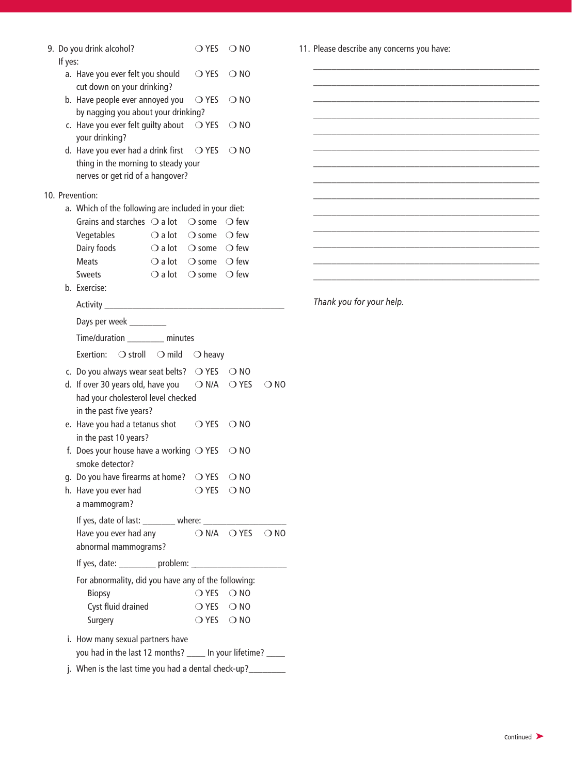|         | 9. Do you drink alcohol?<br>$\bigcirc$ yes<br>$\bigcirc$ NO                                                                                      |  |  |  |  |  |  |
|---------|--------------------------------------------------------------------------------------------------------------------------------------------------|--|--|--|--|--|--|
| If yes: | a. Have you ever felt you should<br>$\bigcirc$ yes<br>$\bigcirc$ NO                                                                              |  |  |  |  |  |  |
|         | cut down on your drinking?<br>b. Have people ever annoyed you<br>◯ YES<br>$\bigcirc$ NO                                                          |  |  |  |  |  |  |
|         | by nagging you about your drinking?                                                                                                              |  |  |  |  |  |  |
|         | c. Have you ever felt guilty about<br>$\bigcirc$ yes<br>$\bigcirc$ NO<br>your drinking?                                                          |  |  |  |  |  |  |
|         | d. Have you ever had a drink first<br>$\bigcirc$ YES<br>$\bigcirc$ NO<br>thing in the morning to steady your<br>nerves or get rid of a hangover? |  |  |  |  |  |  |
|         | 10. Prevention:                                                                                                                                  |  |  |  |  |  |  |
|         | a. Which of the following are included in your diet:                                                                                             |  |  |  |  |  |  |
|         | Grains and starches $\bigcirc$ a lot<br>$\bigcirc$ some $\bigcirc$ few                                                                           |  |  |  |  |  |  |
|         | $\bigcirc$ a lot $\bigcirc$ some $\bigcirc$ few<br>Vegetables<br>Dairy foods<br>$\bigcirc$ a lot $\bigcirc$ some $\bigcirc$ few                  |  |  |  |  |  |  |
|         | <b>Meats</b><br>$\bigcirc$ a lot $\bigcirc$ some $\bigcirc$ few                                                                                  |  |  |  |  |  |  |
|         | $\bigcirc$ a lot $\bigcirc$ some $\bigcirc$ few<br><b>Sweets</b>                                                                                 |  |  |  |  |  |  |
|         | b. Exercise:                                                                                                                                     |  |  |  |  |  |  |
|         | Activity <b>Activity</b>                                                                                                                         |  |  |  |  |  |  |
|         | Days per week ________                                                                                                                           |  |  |  |  |  |  |
|         | Time/duration minutes                                                                                                                            |  |  |  |  |  |  |
|         | ○ stroll<br>$\bigcirc$ mild<br>Exertion:<br>$\bigcirc$ heavy                                                                                     |  |  |  |  |  |  |
|         | c. Do you always wear seat belts? $\bigcirc$ YES<br>$\bigcirc$ NO                                                                                |  |  |  |  |  |  |
|         | d. If over 30 years old, have you<br>◯ N/A<br>$\bigcirc$ YES<br>$\bigcirc$ NO                                                                    |  |  |  |  |  |  |
|         | had your cholesterol level checked                                                                                                               |  |  |  |  |  |  |
|         | in the past five years?                                                                                                                          |  |  |  |  |  |  |
|         | e. Have you had a tetanus shot<br>◯ YES<br>$\bigcirc$ NO                                                                                         |  |  |  |  |  |  |
|         | in the past 10 years?<br>f. Does your house have a working $\bigcirc$ YES<br>$\bigcirc$ NO                                                       |  |  |  |  |  |  |
|         | smoke detector?                                                                                                                                  |  |  |  |  |  |  |
|         | g. Do you have firearms at home?<br>$\bigcirc$ YES<br>$\bigcirc$ NO                                                                              |  |  |  |  |  |  |
|         | h. Have you ever had<br>$\bigcirc$ YES<br>$\bigcirc$ NO                                                                                          |  |  |  |  |  |  |
|         | a mammogram?                                                                                                                                     |  |  |  |  |  |  |
|         | If yes, date of last: ________ where: ____                                                                                                       |  |  |  |  |  |  |
|         | $ON/A$ $O$ YES $ONO$<br>Have you ever had any                                                                                                    |  |  |  |  |  |  |
|         | abnormal mammograms?                                                                                                                             |  |  |  |  |  |  |
|         | If yes, date: _________ problem: ___________                                                                                                     |  |  |  |  |  |  |
|         | For abnormality, did you have any of the following:                                                                                              |  |  |  |  |  |  |
|         | <b>Biopsy</b><br>OYES ONO                                                                                                                        |  |  |  |  |  |  |
|         | Cyst fluid drained<br>$\bigcirc$ YES $\bigcirc$ NO                                                                                               |  |  |  |  |  |  |
|         | $\bigcirc$ YES $\bigcirc$ NO<br>Surgery                                                                                                          |  |  |  |  |  |  |
|         | i. How many sexual partners have                                                                                                                 |  |  |  |  |  |  |
|         | you had in the last 12 months? ____ In your lifetime? ____                                                                                       |  |  |  |  |  |  |
|         | j. When is the last time you had a dental check-up?_______                                                                                       |  |  |  |  |  |  |

11. Please describe any concerns you have:

\_\_\_\_\_\_\_\_\_\_\_\_\_\_\_\_\_\_\_\_\_\_\_\_\_\_\_\_\_\_\_\_\_\_\_\_\_\_\_\_\_\_\_\_\_\_\_\_\_ \_\_\_\_\_\_\_\_\_\_\_\_\_\_\_\_\_\_\_\_\_\_\_\_\_\_\_\_\_\_\_\_\_\_\_\_\_\_\_\_\_\_\_\_\_\_\_\_\_ \_\_\_\_\_\_\_\_\_\_\_\_\_\_\_\_\_\_\_\_\_\_\_\_\_\_\_\_\_\_\_\_\_\_\_\_\_\_\_\_\_\_\_\_\_\_\_\_\_ \_\_\_\_\_\_\_\_\_\_\_\_\_\_\_\_\_\_\_\_\_\_\_\_\_\_\_\_\_\_\_\_\_\_\_\_\_\_\_\_\_\_\_\_\_\_\_\_\_

\_\_\_\_\_\_\_\_\_\_\_\_\_\_\_\_\_\_\_\_\_\_\_\_\_\_\_\_\_\_\_\_\_\_\_\_\_\_\_\_\_\_\_\_\_\_\_\_\_ \_\_\_\_\_\_\_\_\_\_\_\_\_\_\_\_\_\_\_\_\_\_\_\_\_\_\_\_\_\_\_\_\_\_\_\_\_\_\_\_\_\_\_\_\_\_\_\_\_ \_\_\_\_\_\_\_\_\_\_\_\_\_\_\_\_\_\_\_\_\_\_\_\_\_\_\_\_\_\_\_\_\_\_\_\_\_\_\_\_\_\_\_\_\_\_\_\_\_ \_\_\_\_\_\_\_\_\_\_\_\_\_\_\_\_\_\_\_\_\_\_\_\_\_\_\_\_\_\_\_\_\_\_\_\_\_\_\_\_\_\_\_\_\_\_\_\_\_ \_\_\_\_\_\_\_\_\_\_\_\_\_\_\_\_\_\_\_\_\_\_\_\_\_\_\_\_\_\_\_\_\_\_\_\_\_\_\_\_\_\_\_\_\_\_\_\_\_ \_\_\_\_\_\_\_\_\_\_\_\_\_\_\_\_\_\_\_\_\_\_\_\_\_\_\_\_\_\_\_\_\_\_\_\_\_\_\_\_\_\_\_\_\_\_\_\_\_ \_\_\_\_\_\_\_\_\_\_\_\_\_\_\_\_\_\_\_\_\_\_\_\_\_\_\_\_\_\_\_\_\_\_\_\_\_\_\_\_\_\_\_\_\_\_\_\_\_

*Thank you for your help.*